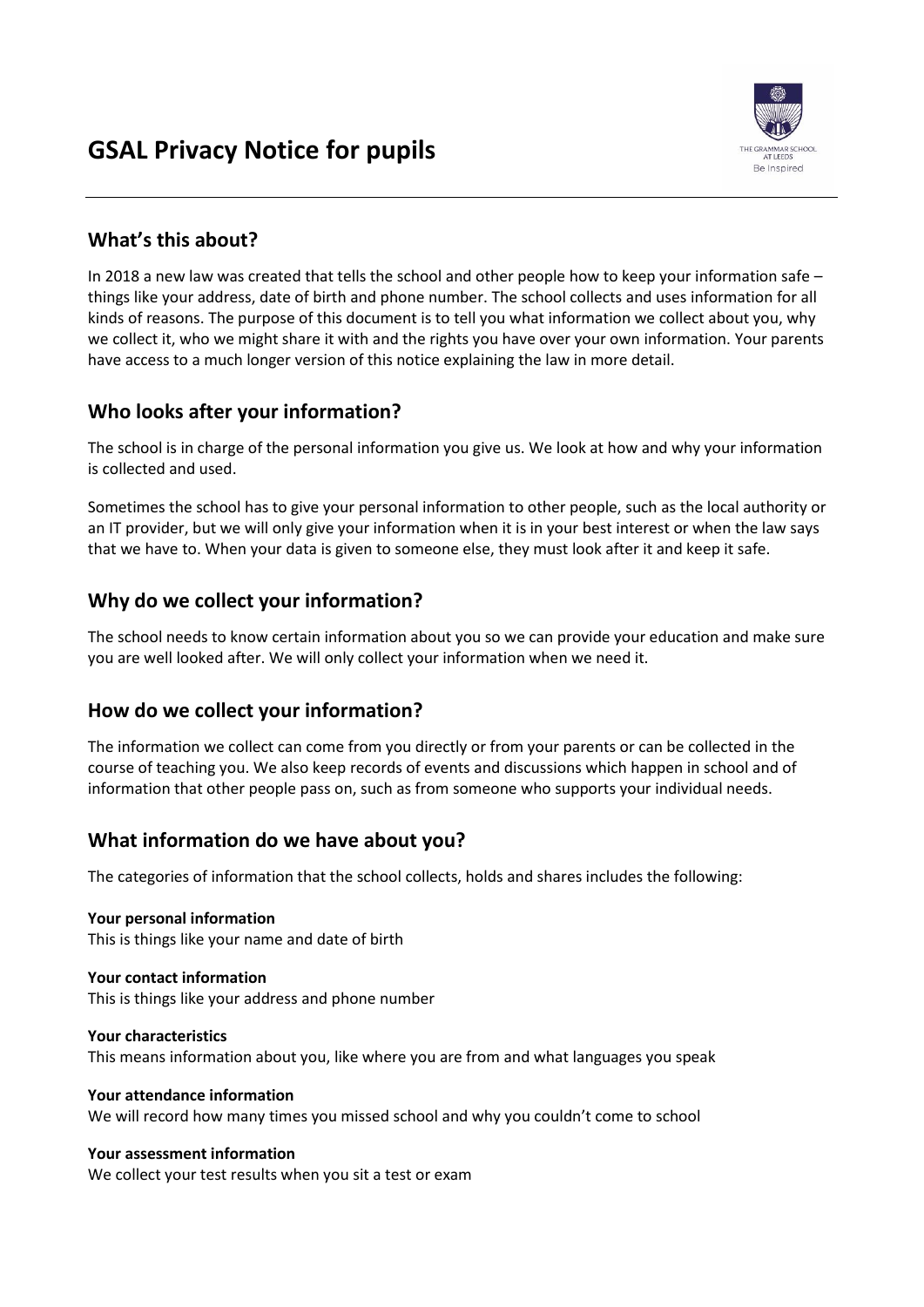

# **What's this about?**

In 2018 a new law was created that tells the school and other people how to keep your information safe – things like your address, date of birth and phone number. The school collects and uses information for all kinds of reasons. The purpose of this document is to tell you what information we collect about you, why we collect it, who we might share it with and the rights you have over your own information. Your parents have access to a much longer version of this notice explaining the law in more detail.

# **Who looks after your information?**

The school is in charge of the personal information you give us. We look at how and why your information is collected and used.

Sometimes the school has to give your personal information to other people, such as the local authority or an IT provider, but we will only give your information when it is in your best interest or when the law says that we have to. When your data is given to someone else, they must look after it and keep it safe.

# **Why do we collect your information?**

The school needs to know certain information about you so we can provide your education and make sure you are well looked after. We will only collect your information when we need it.

## **How do we collect your information?**

The information we collect can come from you directly or from your parents or can be collected in the course of teaching you. We also keep records of events and discussions which happen in school and of information that other people pass on, such as from someone who supports your individual needs.

# **What information do we have about you?**

The categories of information that the school collects, holds and shares includes the following:

**Your personal information** This is things like your name and date of birth

#### **Your contact information** This is things like your address and phone number

**Your characteristics** This means information about you, like where you are from and what languages you speak

### **Your attendance information**

We will record how many times you missed school and why you couldn't come to school

### **Your assessment information**

We collect your test results when you sit a test or exam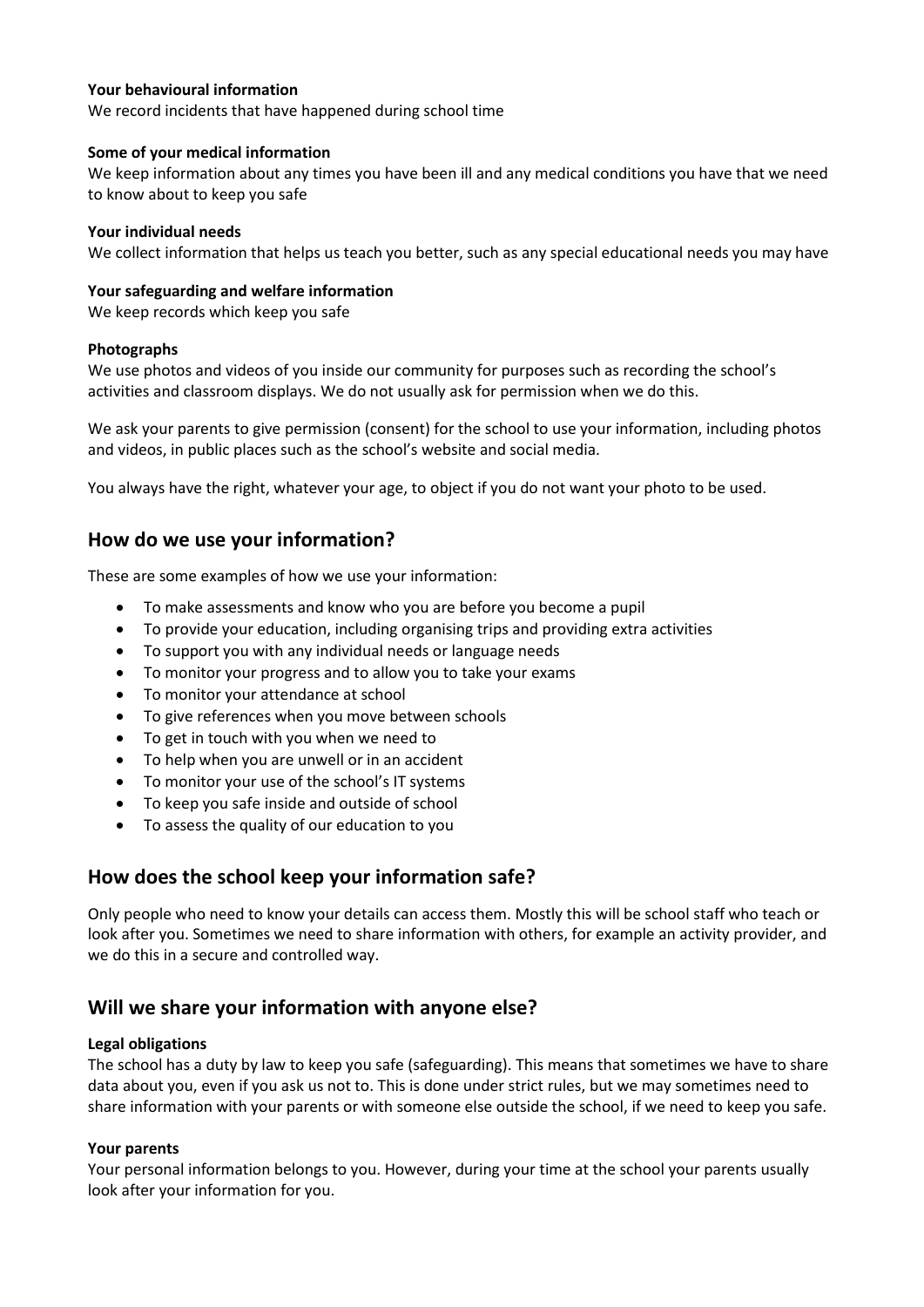#### **Your behavioural information**

We record incidents that have happened during school time

#### **Some of your medical information**

We keep information about any times you have been ill and any medical conditions you have that we need to know about to keep you safe

#### **Your individual needs**

We collect information that helps us teach you better, such as any special educational needs you may have

#### **Your safeguarding and welfare information**

We keep records which keep you safe

#### **Photographs**

We use photos and videos of you inside our community for purposes such as recording the school's activities and classroom displays. We do not usually ask for permission when we do this.

We ask your parents to give permission (consent) for the school to use your information, including photos and videos, in public places such as the school's website and social media.

You always have the right, whatever your age, to object if you do not want your photo to be used.

### **How do we use your information?**

These are some examples of how we use your information:

- To make assessments and know who you are before you become a pupil
- To provide your education, including organising trips and providing extra activities
- To support you with any individual needs or language needs
- To monitor your progress and to allow you to take your exams
- To monitor your attendance at school
- To give references when you move between schools
- To get in touch with you when we need to
- To help when you are unwell or in an accident
- To monitor your use of the school's IT systems
- To keep you safe inside and outside of school
- To assess the quality of our education to you

## **How does the school keep your information safe?**

Only people who need to know your details can access them. Mostly this will be school staff who teach or look after you. Sometimes we need to share information with others, for example an activity provider, and we do this in a secure and controlled way.

## **Will we share your information with anyone else?**

#### **Legal obligations**

The school has a duty by law to keep you safe (safeguarding). This means that sometimes we have to share data about you, even if you ask us not to. This is done under strict rules, but we may sometimes need to share information with your parents or with someone else outside the school, if we need to keep you safe.

#### **Your parents**

Your personal information belongs to you. However, during your time at the school your parents usually look after your information for you.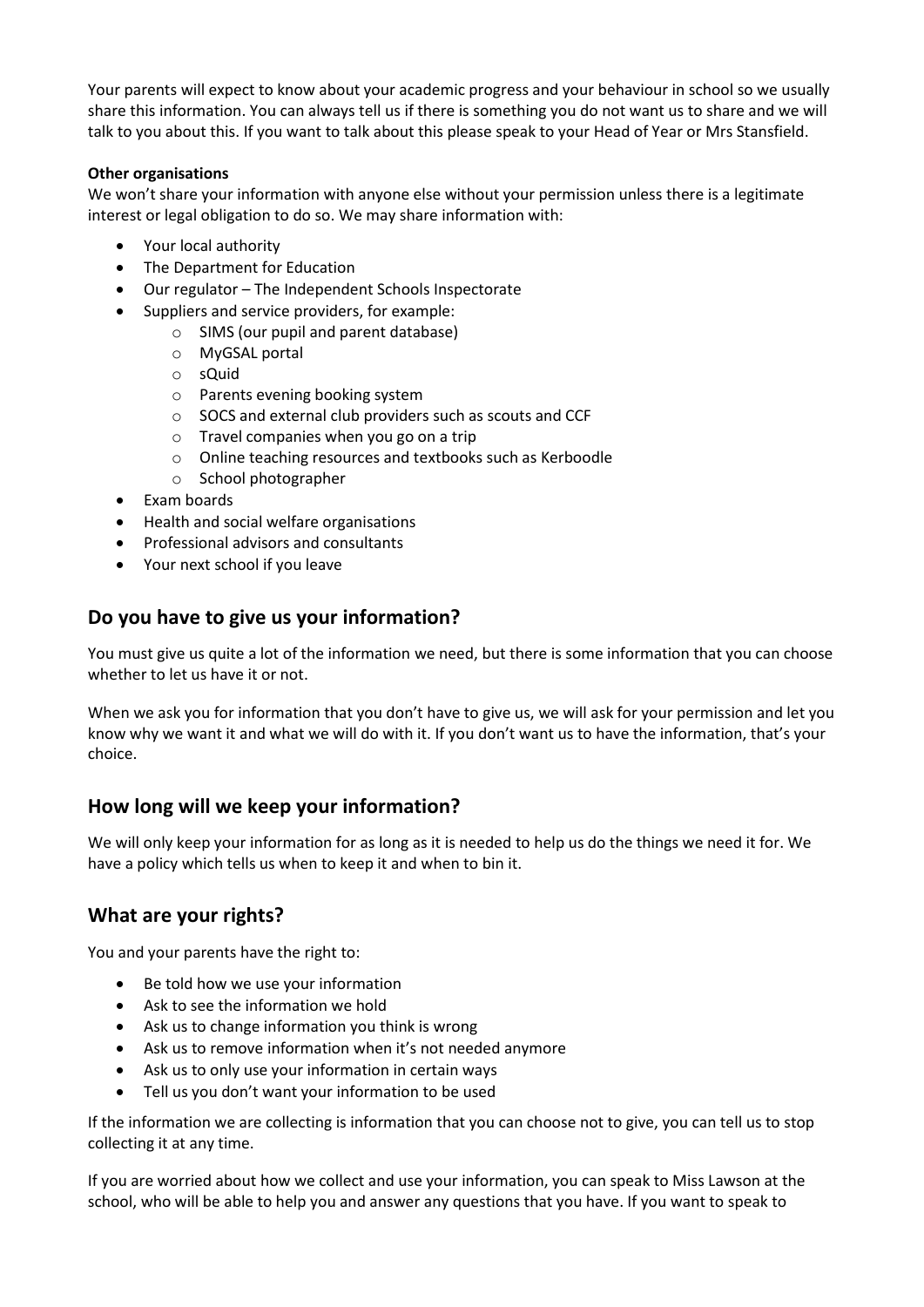Your parents will expect to know about your academic progress and your behaviour in school so we usually share this information. You can always tell us if there is something you do not want us to share and we will talk to you about this. If you want to talk about this please speak to your Head of Year or Mrs Stansfield.

#### **Other organisations**

We won't share your information with anyone else without your permission unless there is a legitimate interest or legal obligation to do so. We may share information with:

- Your local authority
- The Department for Education
- Our regulator The Independent Schools Inspectorate
- Suppliers and service providers, for example:
	- o SIMS (our pupil and parent database)
	- o MyGSAL portal
	- o sQuid
	- o Parents evening booking system
	- o SOCS and external club providers such as scouts and CCF
	- o Travel companies when you go on a trip
	- o Online teaching resources and textbooks such as Kerboodle
	- o School photographer
- Exam boards
- Health and social welfare organisations
- Professional advisors and consultants
- Your next school if you leave

## **Do you have to give us your information?**

You must give us quite a lot of the information we need, but there is some information that you can choose whether to let us have it or not.

When we ask you for information that you don't have to give us, we will ask for your permission and let you know why we want it and what we will do with it. If you don't want us to have the information, that's your choice.

## **How long will we keep your information?**

We will only keep your information for as long as it is needed to help us do the things we need it for. We have a policy which tells us when to keep it and when to bin it.

## **What are your rights?**

You and your parents have the right to:

- Be told how we use your information
- Ask to see the information we hold
- Ask us to change information you think is wrong
- Ask us to remove information when it's not needed anymore
- Ask us to only use your information in certain ways
- Tell us you don't want your information to be used

If the information we are collecting is information that you can choose not to give, you can tell us to stop collecting it at any time.

If you are worried about how we collect and use your information, you can speak to Miss Lawson at the school, who will be able to help you and answer any questions that you have. If you want to speak to